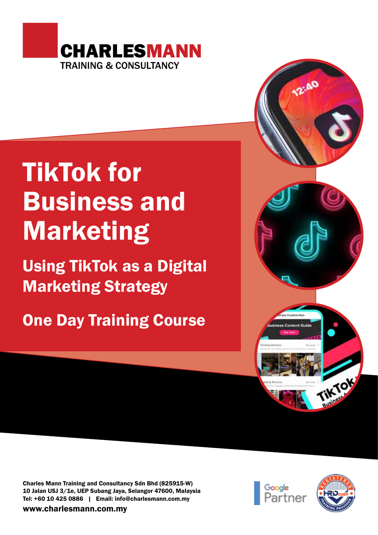

# TikTok for Business and Marketing

Using TikTok as a Digital Marketing Strategy

One Day Training Course

Charles Mann Training and Consultancy Sdn Bhd (825915-W) 10 Jalan USJ 3/1e, UEP Subang Jaya, Selangor 47600, Malaysia Tel: +60 10 425 0886 | Email: info@charlesmann.com.my

www.charlesmann.com.my





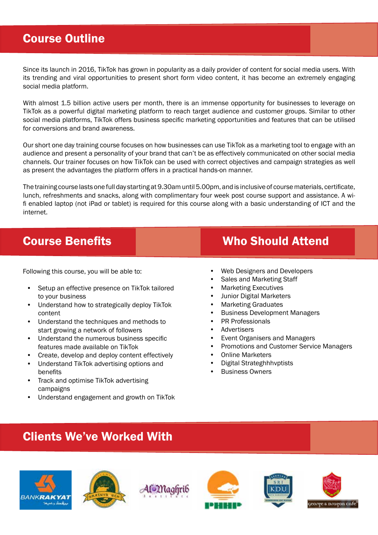#### Course Outline

Since its launch in 2016, TikTok has grown in popularity as a daily provider of content for social media users. With its trending and viral opportunities to present short form video content, it has become an extremely engaging social media platform.

With almost 1.5 billion active users per month, there is an immense opportunity for businesses to leverage on TikTok as a powerful digital marketing platform to reach target audience and customer groups. Similar to other social media platforms, TikTok offers business specific marketing opportunities and features that can be utilised for conversions and brand awareness.

Our short one day training course focuses on how businesses can use TikTok as a marketing tool to engage with an audience and present a personality of your brand that can't be as effectively communicated on other social media channels. Our trainer focuses on how TikTok can be used with correct objectives and campaign strategies as well as present the advantages the platform offers in a practical hands-on manner.

The training course lasts one full day starting at 9.30am until 5.00pm, and is inclusive of course materials, certificate, lunch, refreshments and snacks, along with complimentary four week post course support and assistance. A wifi enabled laptop (not iPad or tablet) is required for this course along with a basic understanding of ICT and the internet.

Following this course, you will be able to:

- Setup an effective presence on TikTok tailored to your business
- Understand how to strategically deploy TikTok content
- Understand the techniques and methods to start growing a network of followers
- Understand the numerous business specific features made available on TikTok
- Create, develop and deploy content effectively
- Understand TikTok advertising options and benefits
- Track and optimise TikTok advertising campaigns
- Understand engagement and growth on TikTok

## **Course Benefits Course Benefits** Who Should Attend

- Web Designers and Developers
- Sales and Marketing Staff
- Marketing Executives
- Junior Digital Marketers
- Marketing Graduates
- Business Development Managers
- PR Professionals
- Advertisers
- Event Organisers and Managers
- Promotions and Customer Service Managers
- Online Marketers
- Digital Strateghhhvptists
- **Business Owners**

## Clients We've Worked With









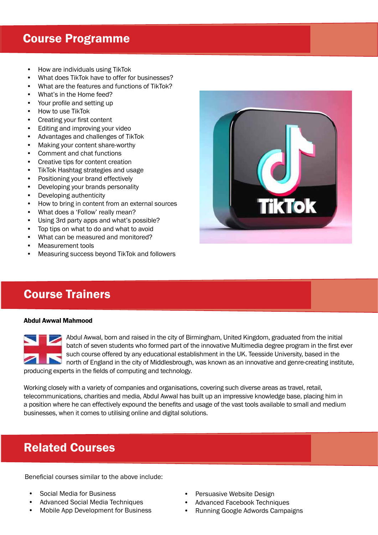#### Course Programme

- How are individuals using TikTok
- What does TikTok have to offer for businesses?
- What are the features and functions of TikTok?
- What's in the Home feed?
- Your profile and setting up
- How to use TikTok
- Creating your first content
- Editing and improving your video
- Advantages and challenges of TikTok
- Making your content share-worthy
- Comment and chat functions
- Creative tips for content creation
- TikTok Hashtag strategies and usage
- Positioning your brand effectively
- Developing your brands personality
- Developing authenticity
- How to bring in content from an external sources
- What does a 'Follow' really mean?
- Using 3rd party apps and what's possible?
- Top tips on what to do and what to avoid
- What can be measured and monitored?
- Measurement tools
- Measuring success beyond TikTok and followers

## Course Trainers

#### Abdul Awwal Mahmood



Abdul Awwal, born and raised in the city of Birmingham, United Kingdom, graduated from the initial batch of seven students who formed part of the innovative Multimedia degree program in the first ever such course offered by any educational establishment in the UK. Teesside University, based in the north of England in the city of Middlesbrough, was known as an innovative and genre-creating institute,

producing experts in the fields of computing and technology.

Working closely with a variety of companies and organisations, covering such diverse areas as travel, retail, telecommunications, charities and media, Abdul Awwal has built up an impressive knowledge base, placing him in a position where he can effectively expound the benefits and usage of the vast tools available to small and medium businesses, when it comes to utilising online and digital solutions.

#### Related Courses

Beneficial courses similar to the above include:

- Social Media for Business
- Advanced Social Media Techniques
- Mobile App Development for Business
- Persuasive Website Design
- Advanced Facebook Techniques
- Running Google Adwords Campaigns